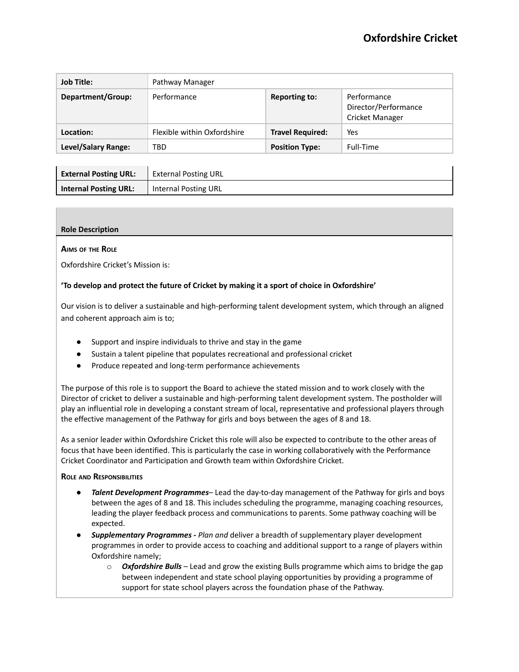| <b>Job Title:</b>   | Pathway Manager             |                         |                                                        |  |
|---------------------|-----------------------------|-------------------------|--------------------------------------------------------|--|
| Department/Group:   | Performance                 | <b>Reporting to:</b>    | Performance<br>Director/Performance<br>Cricket Manager |  |
| Location:           | Flexible within Oxfordshire | <b>Travel Required:</b> | Yes                                                    |  |
| Level/Salary Range: | TBD                         | <b>Position Type:</b>   | Full-Time                                              |  |

| <b>External Posting URL:</b> | <b>External Posting URL</b> |
|------------------------------|-----------------------------|
| <b>Internal Posting URL:</b> | Internal Posting URL        |

# **Role Description**

### **AIMS OF THE ROLE**

Oxfordshire Cricket's Mission is:

## **'To develop and protect the future of Cricket by making it a sport of choice in Oxfordshire'**

Our vision is to deliver a sustainable and high-performing talent development system, which through an aligned and coherent approach aim is to;

- Support and inspire individuals to thrive and stay in the game
- Sustain a talent pipeline that populates recreational and professional cricket
- Produce repeated and long-term performance achievements

The purpose of this role is to support the Board to achieve the stated mission and to work closely with the Director of cricket to deliver a sustainable and high-performing talent development system. The postholder will play an influential role in developing a constant stream of local, representative and professional players through the effective management of the Pathway for girls and boys between the ages of 8 and 18.

As a senior leader within Oxfordshire Cricket this role will also be expected to contribute to the other areas of focus that have been identified. This is particularly the case in working collaboratively with the Performance Cricket Coordinator and Participation and Growth team within Oxfordshire Cricket.

### **ROLE AND RESPONSIBILITIES**

- *Talent Development Programmes* Lead the day-to-day management of the Pathway for girls and boys between the ages of 8 and 18. This includes scheduling the programme, managing coaching resources, leading the player feedback process and communications to parents. Some pathway coaching will be expected.
- *Supplementary Programmes - Plan and* deliver a breadth of supplementary player development programmes in order to provide access to coaching and additional support to a range of players within Oxfordshire namely;
	- o *Oxfordshire Bulls* Lead and grow the existing Bulls programme which aims to bridge the gap between independent and state school playing opportunities by providing a programme of support for state school players across the foundation phase of the Pathway.